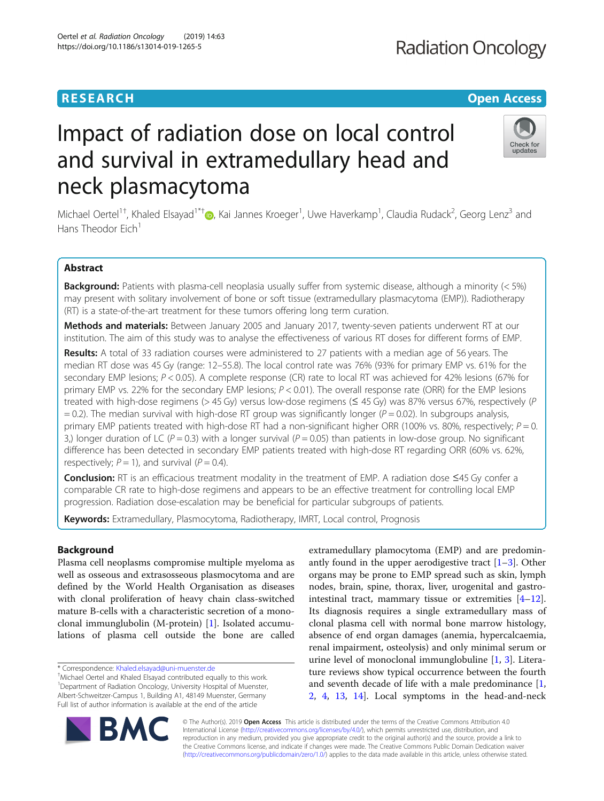# **RESEARCH CHINESE ARCH CHINESE ARCH CHINESE ARCH <b>CHINESE ARCH CHINESE ARCH CHINESE ARCH <b>CHINESE** ARCH **CHINESE ARCH** CHINESE ARCH **CHINESE ARCH** CHINESE ARCH **CHINESE ARCH 2014**

# Impact of radiation dose on local control and survival in extramedullary head and neck plasmacytoma

Michael Oertel<sup>1†</sup>[,](http://orcid.org/0000-0001-9303-7336) Khaled Elsayad<sup>1\*†</sup>®, Kai Jannes Kroeger<sup>1</sup>, Uwe Haverkamp<sup>1</sup>, Claudia Rudack<sup>2</sup>, Georg Lenz<sup>3</sup> and Hans Theodor  $Fich<sup>1</sup>$ 

## Abstract

**Background:** Patients with plasma-cell neoplasia usually suffer from systemic disease, although a minority  $\langle$  < 5%) may present with solitary involvement of bone or soft tissue (extramedullary plasmacytoma (EMP)). Radiotherapy (RT) is a state-of-the-art treatment for these tumors offering long term curation.

Methods and materials: Between January 2005 and January 2017, twenty-seven patients underwent RT at our institution. The aim of this study was to analyse the effectiveness of various RT doses for different forms of EMP.

Results: A total of 33 radiation courses were administered to 27 patients with a median age of 56 years. The median RT dose was 45 Gy (range: 12–55.8). The local control rate was 76% (93% for primary EMP vs. 61% for the secondary EMP lesions; P < 0.05). A complete response (CR) rate to local RT was achieved for 42% lesions (67% for primary EMP vs. 22% for the secondary EMP lesions; P < 0.01). The overall response rate (ORR) for the EMP lesions treated with high-dose regimens (> 45 Gy) versus low-dose regimens (≤ 45 Gy) was 87% versus 67%, respectively (P  $= 0.2$ ). The median survival with high-dose RT group was significantly longer ( $P = 0.02$ ). In subgroups analysis, primary EMP patients treated with high-dose RT had a non-significant higher ORR (100% vs. 80%, respectively;  $P = 0$ . 3,) longer duration of LC ( $P = 0.3$ ) with a longer survival ( $P = 0.05$ ) than patients in low-dose group. No significant difference has been detected in secondary EMP patients treated with high-dose RT regarding ORR (60% vs. 62%, respectively;  $P = 1$ ), and survival ( $P = 0.4$ ).

Conclusion: RT is an efficacious treatment modality in the treatment of EMP. A radiation dose ≤45 Gy confer a comparable CR rate to high-dose regimens and appears to be an effective treatment for controlling local EMP progression. Radiation dose-escalation may be beneficial for particular subgroups of patients.

Keywords: Extramedullary, Plasmocytoma, Radiotherapy, IMRT, Local control, Prognosis

### Background

Plasma cell neoplasms compromise multiple myeloma as well as osseous and extrasosseous plasmocytoma and are defined by the World Health Organisation as diseases with clonal proliferation of heavy chain class-switched mature B-cells with a characteristic secretion of a monoclonal immunglubolin (M-protein) [\[1\]](#page-5-0). Isolated accumulations of plasma cell outside the bone are called

\* Correspondence: [Khaled.elsayad@uni-muenster.de](mailto:Khaled.elsayad@uni-muenster.de) †

© The Author(s). 2019 **Open Access** This article is distributed under the terms of the Creative Commons Attribution 4.0 International License [\(http://creativecommons.org/licenses/by/4.0/](http://creativecommons.org/licenses/by/4.0/)), which permits unrestricted use, distribution, and reproduction in any medium, provided you give appropriate credit to the original author(s) and the source, provide a link to the Creative Commons license, and indicate if changes were made. The Creative Commons Public Domain Dedication waiver [\(http://creativecommons.org/publicdomain/zero/1.0/](http://creativecommons.org/publicdomain/zero/1.0/)) applies to the data made available in this article, unless otherwise stated.

extramedullary plamocytoma (EMP) and are predominantly found in the upper aerodigestive tract  $[1-3]$  $[1-3]$  $[1-3]$ . Other organs may be prone to EMP spread such as skin, lymph nodes, brain, spine, thorax, liver, urogenital and gastrointestinal tract, mammary tissue or extremities  $[4-12]$  $[4-12]$  $[4-12]$  $[4-12]$  $[4-12]$ . Its diagnosis requires a single extramedullary mass of clonal plasma cell with normal bone marrow histology, absence of end organ damages (anemia, hypercalcaemia, renal impairment, osteolysis) and only minimal serum or urine level of monoclonal immunglobuline [[1](#page-5-0), [3\]](#page-5-0). Literature reviews show typical occurrence between the fourth and seventh decade of life with a male predominance [\[1](#page-5-0), [2,](#page-5-0) [4,](#page-5-0) [13](#page-6-0), [14](#page-6-0)]. Local symptoms in the head-and-neck





Michael Oertel and Khaled Elsayad contributed equally to this work. <sup>1</sup>Department of Radiation Oncology, University Hospital of Muenster, Albert-Schweitzer-Campus 1, Building A1, 48149 Muenster, Germany Full list of author information is available at the end of the article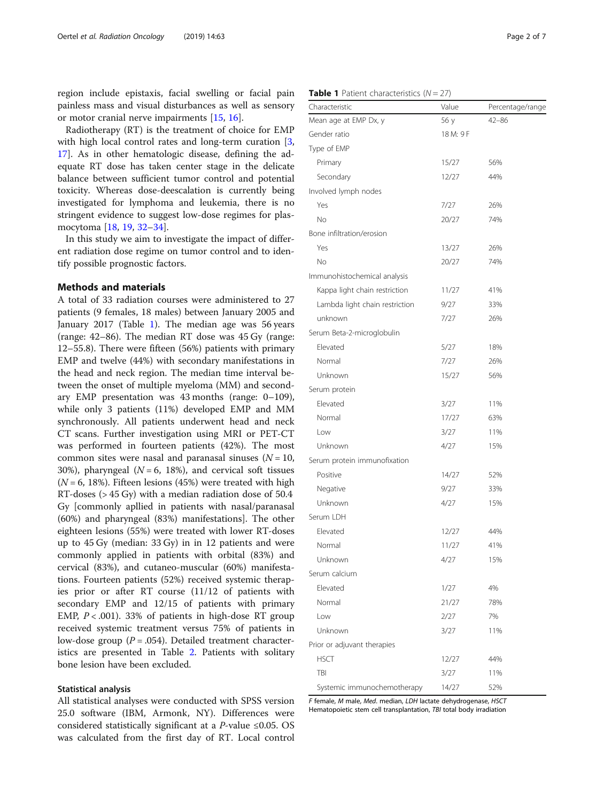<span id="page-1-0"></span>region include epistaxis, facial swelling or facial pain painless mass and visual disturbances as well as sensory or motor cranial nerve impairments [\[15](#page-6-0), [16](#page-6-0)].

Radiotherapy (RT) is the treatment of choice for EMP with high local control rates and long-term curation [\[3](#page-5-0), [17\]](#page-6-0). As in other hematologic disease, defining the adequate RT dose has taken center stage in the delicate balance between sufficient tumor control and potential toxicity. Whereas dose-deescalation is currently being investigated for lymphoma and leukemia, there is no stringent evidence to suggest low-dose regimes for plasmocytoma [[18,](#page-6-0) [19](#page-6-0), [32](#page-6-0)–[34](#page-6-0)].

In this study we aim to investigate the impact of different radiation dose regime on tumor control and to identify possible prognostic factors.

#### Methods and materials

A total of 33 radiation courses were administered to 27 patients (9 females, 18 males) between January 2005 and January 2017 (Table 1). The median age was 56 years (range: 42–86). The median RT dose was 45 Gy (range: 12–55.8). There were fifteen (56%) patients with primary EMP and twelve (44%) with secondary manifestations in the head and neck region. The median time interval between the onset of multiple myeloma (MM) and secondary EMP presentation was 43 months (range: 0–109), while only 3 patients (11%) developed EMP and MM synchronously. All patients underwent head and neck CT scans. Further investigation using MRI or PET-CT was performed in fourteen patients (42%). The most common sites were nasal and paranasal sinuses ( $N = 10$ , 30%), pharyngeal ( $N = 6$ , 18%), and cervical soft tissues  $(N = 6, 18\%)$ . Fifteen lesions (45%) were treated with high RT-doses (> 45 Gy) with a median radiation dose of 50.4 Gy [commonly apllied in patients with nasal/paranasal (60%) and pharyngeal (83%) manifestations]. The other eighteen lesions (55%) were treated with lower RT-doses up to 45 Gy (median: 33 Gy) in in 12 patients and were commonly applied in patients with orbital (83%) and cervical (83%), and cutaneo-muscular (60%) manifestations. Fourteen patients (52%) received systemic therapies prior or after RT course (11/12 of patients with secondary EMP and 12/15 of patients with primary EMP,  $P < .001$ ). 33% of patients in high-dose RT group received systemic treatment versus 75% of patients in low-dose group ( $P = .054$ ). Detailed treatment characteristics are presented in Table [2.](#page-2-0) Patients with solitary bone lesion have been excluded.

#### Statistical analysis

All statistical analyses were conducted with SPSS version 25.0 software (IBM, Armonk, NY). Differences were considered statistically significant at a *P*-value  $\leq 0.05$ . OS was calculated from the first day of RT. Local control

| Characteristic                 | Value     | Percentage/range |
|--------------------------------|-----------|------------------|
| Mean age at EMP Dx, y          | 56 y      | $42 - 86$        |
| Gender ratio                   | 18 M: 9 F |                  |
| Type of EMP                    |           |                  |
| Primary                        | 15/27     | 56%              |
| Secondary                      | 12/27     | 44%              |
| Involved lymph nodes           |           |                  |
| Yes                            | 7/27      | 26%              |
| No                             | 20/27     | 74%              |
| Bone infiltration/erosion      |           |                  |
| Yes                            | 13/27     | 26%              |
| No                             | 20/27     | 74%              |
| Immunohistochemical analysis   |           |                  |
| Kappa light chain restriction  | 11/27     | 41%              |
| Lambda light chain restriction | 9/27      | 33%              |
| unknown                        | 7/27      | 26%              |
| Serum Beta-2-microglobulin     |           |                  |
| Elevated                       | 5/27      | 18%              |
| Normal                         | 7/27      | 26%              |
| Unknown                        | 15/27     | 56%              |
| Serum protein                  |           |                  |
| Elevated                       | 3/27      | 11%              |
| Normal                         | 17/27     | 63%              |
| Low                            | 3/27      | 11%              |
| Unknown                        | 4/27      | 15%              |
| Serum protein immunofixation   |           |                  |
| Positive                       | 14/27     | 52%              |
| Negative                       | 9/27      | 33%              |
| Unknown                        | 4/27      | 15%              |
| Serum LDH                      |           |                  |
| Elevated                       | 12/27     | 44%              |
| Normal                         | 11/27     | 41%              |
| Unknown                        | 4/27      | 15%              |
| Serum calcium                  |           |                  |
| Elevated                       | 1/27      | 4%               |
| Normal                         | 21/27     | 78%              |
| Low                            | 2/27      | 7%               |
| Unknown                        | 3/27      | 11%              |
| Prior or adjuvant therapies    |           |                  |
| <b>HSCT</b>                    | 12/27     | 44%              |
| TBI                            | 3/27      | 11%              |
| Systemic immunochemotherapy    | 14/27     | 52%              |

F female, M male, Med. median, LDH lactate dehydrogenase, HSCT Hematopoietic stem cell transplantation, TBI total body irradiation

#### **Table 1** Patient characteristics  $(N = 27)$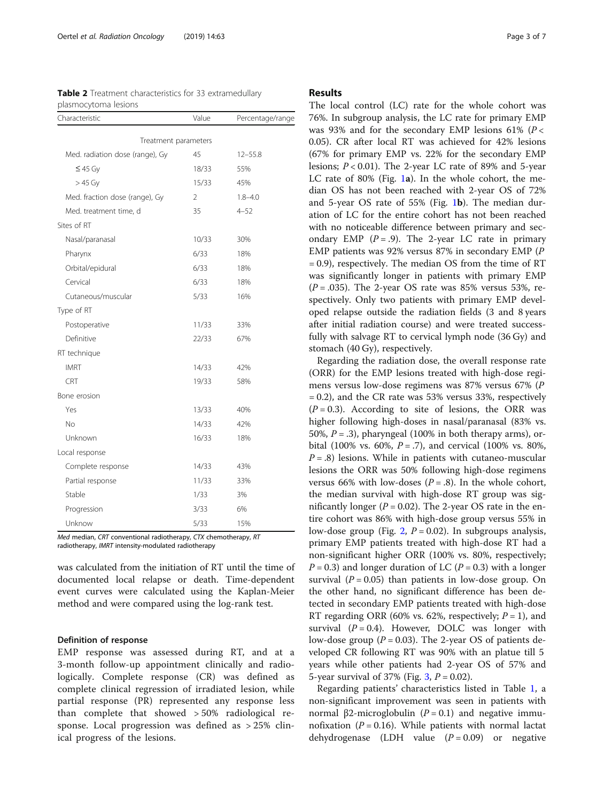<span id="page-2-0"></span>

| Table 2 Treatment characteristics for 33 extramedullary |  |
|---------------------------------------------------------|--|
| plasmocytoma lesions                                    |  |

| Characteristic                  | Value | Percentage/range |
|---------------------------------|-------|------------------|
| Treatment parameters            |       |                  |
| Med. radiation dose (range), Gy | 45    | $12 - 55.8$      |
| $\leq$ 45 Gy                    | 18/33 | 55%              |
| $>45$ Gy                        | 15/33 | 45%              |
| Med. fraction dose (range), Gy  | 2     | $1.8 - 4.0$      |
| Med. treatment time, d          | 35    | $4 - 52$         |
| Sites of RT                     |       |                  |
| Nasal/paranasal                 | 10/33 | 30%              |
| Pharynx                         | 6/33  | 18%              |
| Orbital/epidural                | 6/33  | 18%              |
| Cervical                        | 6/33  | 18%              |
| Cutaneous/muscular              | 5/33  | 16%              |
| Type of RT                      |       |                  |
| Postoperative                   | 11/33 | 33%              |
| Definitive                      | 22/33 | 67%              |
| RT technique                    |       |                  |
| <b>IMRT</b>                     | 14/33 | 42%              |
| CRT                             | 19/33 | 58%              |
| Bone erosion                    |       |                  |
| Yes                             | 13/33 | 40%              |
| No                              | 14/33 | 42%              |
| Unknown                         | 16/33 | 18%              |
| Local response                  |       |                  |
| Complete response               | 14/33 | 43%              |
| Partial response                | 11/33 | 33%              |
| Stable                          | 1/33  | 3%               |
| Progression                     | 3/33  | 6%               |
| Unknow                          | 5/33  | 15%              |

Med median, CRT conventional radiotherapy, CTX chemotherapy, RT radiotherapy, IMRT intensity-modulated radiotherapy

was calculated from the initiation of RT until the time of documented local relapse or death. Time-dependent event curves were calculated using the Kaplan-Meier method and were compared using the log-rank test.

#### Definition of response

EMP response was assessed during RT, and at a 3-month follow-up appointment clinically and radiologically. Complete response (CR) was defined as complete clinical regression of irradiated lesion, while partial response (PR) represented any response less than complete that showed > 50% radiological response. Local progression was defined as > 25% clinical progress of the lesions.

#### Results

The local control (LC) rate for the whole cohort was 76%. In subgroup analysis, the LC rate for primary EMP was 93% and for the secondary EMP lesions 61% ( $P$  < 0.05). CR after local RT was achieved for 42% lesions (67% for primary EMP vs. 22% for the secondary EMP lesions;  $P < 0.01$ ). The 2-year LC rate of 89% and 5-year LC rate of 80% (Fig. [1](#page-3-0)a). In the whole cohort, the median OS has not been reached with 2-year OS of 72% and 5-year OS rate of 55% (Fig. [1](#page-3-0)b). The median duration of LC for the entire cohort has not been reached with no noticeable difference between primary and secondary EMP  $(P = .9)$ . The 2-year LC rate in primary EMP patients was 92% versus 87% in secondary EMP (P = 0.9), respectively. The median OS from the time of RT was significantly longer in patients with primary EMP  $(P = .035)$ . The 2-year OS rate was 85% versus 53%, respectively. Only two patients with primary EMP developed relapse outside the radiation fields (3 and 8 years after initial radiation course) and were treated successfully with salvage RT to cervical lymph node (36 Gy) and stomach (40 Gy), respectively.

Regarding the radiation dose, the overall response rate (ORR) for the EMP lesions treated with high-dose regimens versus low-dose regimens was 87% versus 67% (P  $= 0.2$ ), and the CR rate was 53% versus 33%, respectively  $(P = 0.3)$ . According to site of lesions, the ORR was higher following high-doses in nasal/paranasal (83% vs. 50%,  $P = .3$ ), pharyngeal (100% in both therapy arms), orbital (100% vs. 60%,  $P = .7$ ), and cervical (100% vs. 80%,  $P = .8$ ) lesions. While in patients with cutaneo-muscular lesions the ORR was 50% following high-dose regimens versus 66% with low-doses  $(P = .8)$ . In the whole cohort, the median survival with high-dose RT group was significantly longer ( $P = 0.02$ ). The 2-year OS rate in the entire cohort was 86% with high-dose group versus 55% in low-dose group (Fig. [2](#page-3-0),  $P = 0.02$ ). In subgroups analysis, primary EMP patients treated with high-dose RT had a non-significant higher ORR (100% vs. 80%, respectively;  $P = 0.3$ ) and longer duration of LC ( $P = 0.3$ ) with a longer survival  $(P = 0.05)$  than patients in low-dose group. On the other hand, no significant difference has been detected in secondary EMP patients treated with high-dose RT regarding ORR (60% vs. 62%, respectively;  $P = 1$ ), and survival  $(P = 0.4)$ . However, DOLC was longer with low-dose group ( $P = 0.03$ ). The 2-year OS of patients developed CR following RT was 90% with an platue till 5 years while other patients had 2-year OS of 57% and 5-year survival of 37% (Fig.  $3, P = 0.02$  $3, P = 0.02$ ).

Regarding patients' characteristics listed in Table [1,](#page-1-0) a non-significant improvement was seen in patients with normal β2-microglobulin ( $P = 0.1$ ) and negative immunofixation ( $P = 0.16$ ). While patients with normal lactat dehydrogenase (LDH value  $(P = 0.09)$  or negative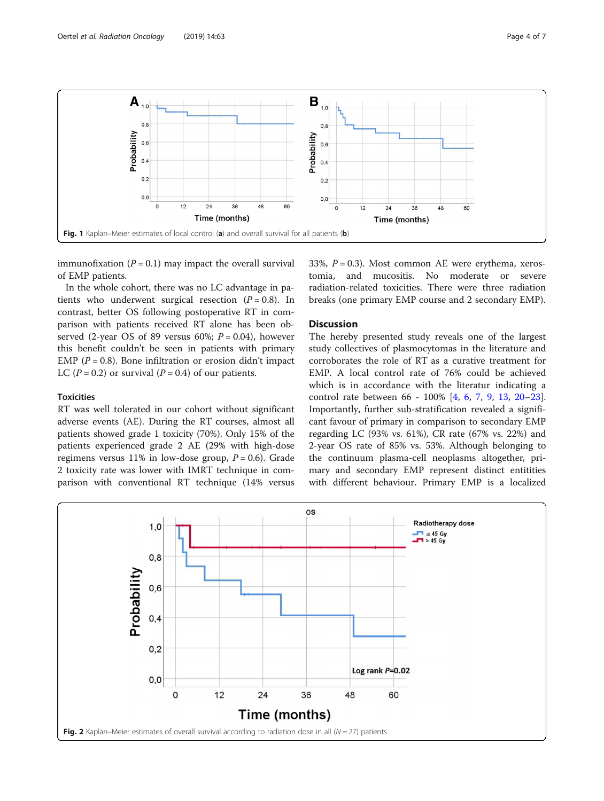<span id="page-3-0"></span>

immunofixation  $(P = 0.1)$  may impact the overall survival of EMP patients.

In the whole cohort, there was no LC advantage in patients who underwent surgical resection  $(P = 0.8)$ . In contrast, better OS following postoperative RT in comparison with patients received RT alone has been observed (2-year OS of 89 versus 60%;  $P = 0.04$ ), however this benefit couldn't be seen in patients with primary EMP ( $P = 0.8$ ). Bone infiltration or erosion didn't impact LC ( $P = 0.2$ ) or survival ( $P = 0.4$ ) of our patients.

#### **Toxicities**

RT was well tolerated in our cohort without significant adverse events (AE). During the RT courses, almost all patients showed grade 1 toxicity (70%). Only 15% of the patients experienced grade 2 AE (29% with high-dose regimens versus 11% in low-dose group,  $P = 0.6$ ). Grade 2 toxicity rate was lower with IMRT technique in comparison with conventional RT technique (14% versus 33%,  $P = 0.3$ ). Most common AE were erythema, xerostomia, and mucositis. No moderate or severe radiation-related toxicities. There were three radiation breaks (one primary EMP course and 2 secondary EMP).

#### **Discussion**

The hereby presented study reveals one of the largest study collectives of plasmocytomas in the literature and corroborates the role of RT as a curative treatment for EMP. A local control rate of 76% could be achieved which is in accordance with the literatur indicating a control rate between 66 - 100% [[4,](#page-5-0) [6,](#page-5-0) [7](#page-5-0), [9](#page-5-0), [13](#page-6-0), [20](#page-6-0)–[23](#page-6-0)]. Importantly, further sub-stratification revealed a significant favour of primary in comparison to secondary EMP regarding LC (93% vs. 61%), CR rate (67% vs. 22%) and 2-year OS rate of 85% vs. 53%. Although belonging to the continuum plasma-cell neoplasms altogether, primary and secondary EMP represent distinct entitities with different behaviour. Primary EMP is a localized

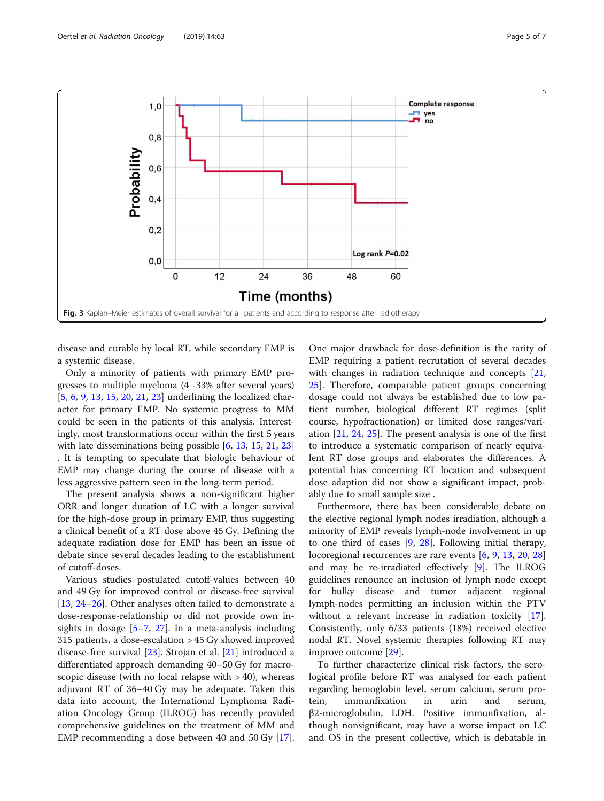<span id="page-4-0"></span>

disease and curable by local RT, while secondary EMP is a systemic disease.

Only a minority of patients with primary EMP progresses to multiple myeloma (4 -33% after several years) [[5,](#page-5-0) [6,](#page-5-0) [9,](#page-5-0) [13,](#page-6-0) [15](#page-6-0), [20](#page-6-0), [21](#page-6-0), [23](#page-6-0)] underlining the localized character for primary EMP. No systemic progress to MM could be seen in the patients of this analysis. Interestingly, most transformations occur within the first 5 years with late disseminations being possible [\[6](#page-5-0), [13](#page-6-0), [15](#page-6-0), [21](#page-6-0), [23](#page-6-0)] . It is tempting to speculate that biologic behaviour of EMP may change during the course of disease with a less aggressive pattern seen in the long-term period.

The present analysis shows a non-significant higher ORR and longer duration of LC with a longer survival for the high-dose group in primary EMP, thus suggesting a clinical benefit of a RT dose above 45 Gy. Defining the adequate radiation dose for EMP has been an issue of debate since several decades leading to the establishment of cutoff-doses.

Various studies postulated cutoff-values between 40 and 49 Gy for improved control or disease-free survival [[13,](#page-6-0) [24](#page-6-0)–[26](#page-6-0)]. Other analyses often failed to demonstrate a dose-response-relationship or did not provide own insights in dosage [[5](#page-5-0)–[7,](#page-5-0) [27\]](#page-6-0). In a meta-analysis including 315 patients, a dose-escalation > 45 Gy showed improved disease-free survival [\[23](#page-6-0)]. Strojan et al. [\[21](#page-6-0)] introduced a differentiated approach demanding 40–50 Gy for macroscopic disease (with no local relapse with  $>$  40), whereas adjuvant RT of 36–40 Gy may be adequate. Taken this data into account, the International Lymphoma Radiation Oncology Group (ILROG) has recently provided comprehensive guidelines on the treatment of MM and EMP recommending a dose between 40 and 50 Gy [\[17](#page-6-0)].

One major drawback for dose-definition is the rarity of EMP requiring a patient recrutation of several decades with changes in radiation technique and concepts [[21](#page-6-0), [25\]](#page-6-0). Therefore, comparable patient groups concerning dosage could not always be established due to low patient number, biological different RT regimes (split course, hypofractionation) or limited dose ranges/variation [[21,](#page-6-0) [24,](#page-6-0) [25\]](#page-6-0). The present analysis is one of the first to introduce a systematic comparison of nearly equivalent RT dose groups and elaborates the differences. A potential bias concerning RT location and subsequent dose adaption did not show a significant impact, probably due to small sample size .

Furthermore, there has been considerable debate on the elective regional lymph nodes irradiation, although a minority of EMP reveals lymph-node involvement in up to one third of cases [\[9](#page-5-0), [28\]](#page-6-0). Following initial therapy, locoregional recurrences are rare events [\[6](#page-5-0), [9](#page-5-0), [13](#page-6-0), [20](#page-6-0), [28](#page-6-0)] and may be re-irradiated effectively [[9](#page-5-0)]. The ILROG guidelines renounce an inclusion of lymph node except for bulky disease and tumor adjacent regional lymph-nodes permitting an inclusion within the PTV without a relevant increase in radiation toxicity [\[17](#page-6-0)]. Consistently, only 6/33 patients (18%) received elective nodal RT. Novel systemic therapies following RT may improve outcome [\[29\]](#page-6-0).

To further characterize clinical risk factors, the serological profile before RT was analysed for each patient regarding hemoglobin level, serum calcium, serum protein, immunfixation in urin and serum, β2-microglobulin, LDH. Positive immunfixation, although nonsignificant, may have a worse impact on LC and OS in the present collective, which is debatable in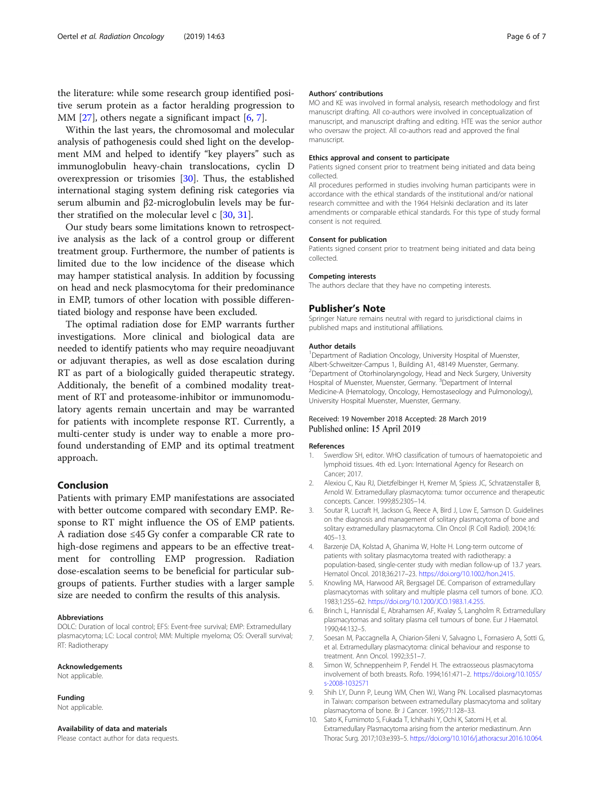<span id="page-5-0"></span>the literature: while some research group identified positive serum protein as a factor heralding progression to MM  $[27]$  $[27]$ , others negate a significant impact  $[6, 7]$ .

Within the last years, the chromosomal and molecular analysis of pathogenesis could shed light on the development MM and helped to identify "key players" such as immunoglobulin heavy-chain translocations, cyclin D overexpression or trisomies [[30](#page-6-0)]. Thus, the established international staging system defining risk categories via serum albumin and β2-microglobulin levels may be further stratified on the molecular level c [[30,](#page-6-0) [31\]](#page-6-0).

Our study bears some limitations known to retrospective analysis as the lack of a control group or different treatment group. Furthermore, the number of patients is limited due to the low incidence of the disease which may hamper statistical analysis. In addition by focussing on head and neck plasmocytoma for their predominance in EMP, tumors of other location with possible differentiated biology and response have been excluded.

The optimal radiation dose for EMP warrants further investigations. More clinical and biological data are needed to identify patients who may require neoadjuvant or adjuvant therapies, as well as dose escalation during RT as part of a biologically guided therapeutic strategy. Additionaly, the benefit of a combined modality treatment of RT and proteasome-inhibitor or immunomodulatory agents remain uncertain and may be warranted for patients with incomplete response RT. Currently, a multi-center study is under way to enable a more profound understanding of EMP and its optimal treatment approach.

#### Conclusion

Patients with primary EMP manifestations are associated with better outcome compared with secondary EMP. Response to RT might influence the OS of EMP patients. A radiation dose ≤45 Gy confer a comparable CR rate to high-dose regimens and appears to be an effective treatment for controlling EMP progression. Radiation dose-escalation seems to be beneficial for particular subgroups of patients. Further studies with a larger sample size are needed to confirm the results of this analysis.

#### Abbreviations

DOLC: Duration of local control; EFS: Event-free survival; EMP: Extramedullary plasmacytoma; LC: Local control; MM: Multiple myeloma; OS: Overall survival; RT: Radiotherapy

#### Acknowledgements

Not applicable.

#### Funding

Not applicable.

#### Availability of data and materials

Please contact author for data requests.

#### Authors' contributions

MO and KE was involved in formal analysis, research methodology and first manuscript drafting. All co-authors were involved in conceptualization of manuscript, and manuscript drafting and editing. HTE was the senior author who oversaw the project. All co-authors read and approved the final manuscript.

#### Ethics approval and consent to participate

Patients signed consent prior to treatment being initiated and data being collected.

All procedures performed in studies involving human participants were in accordance with the ethical standards of the institutional and/or national research committee and with the 1964 Helsinki declaration and its later amendments or comparable ethical standards. For this type of study formal consent is not required.

#### Consent for publication

Patients signed consent prior to treatment being initiated and data being collected.

#### Competing interests

The authors declare that they have no competing interests.

#### Publisher's Note

Springer Nature remains neutral with regard to jurisdictional claims in published maps and institutional affiliations.

#### Author details

<sup>1</sup>Department of Radiation Oncology, University Hospital of Muenster, Albert-Schweitzer-Campus 1, Building A1, 48149 Muenster, Germany. 2 Department of Otorhinolaryngology, Head and Neck Surgery, University Hospital of Muenster, Muenster, Germany. <sup>3</sup>Department of Internal Medicine-A (Hematology, Oncology, Hemostaseology and Pulmonology), University Hospital Muenster, Muenster, Germany.

#### Received: 19 November 2018 Accepted: 28 March 2019 Published online: 15 April 2019

#### References

- 1. Swerdlow SH, editor. WHO classification of tumours of haematopoietic and lymphoid tissues. 4th ed. Lyon: International Agency for Research on Cancer; 2017.
- 2. Alexiou C, Kau RJ, Dietzfelbinger H, Kremer M, Spiess JC, Schratzenstaller B, Arnold W. Extramedullary plasmacytoma: tumor occurrence and therapeutic concepts. Cancer. 1999;85:2305–14.
- 3. Soutar R, Lucraft H, Jackson G, Reece A, Bird J, Low E, Samson D. Guidelines on the diagnosis and management of solitary plasmacytoma of bone and solitary extramedullary plasmacytoma. Clin Oncol (R Coll Radiol). 2004;16: 405–13.
- 4. Barzenje DA, Kolstad A, Ghanima W, Holte H. Long-term outcome of patients with solitary plasmacytoma treated with radiotherapy: a population-based, single-center study with median follow-up of 13.7 years. Hematol Oncol. 2018;36:217–23. [https://doi.org/10.1002/hon.2415.](https://doi.org/10.1002/hon.2415)
- 5. Knowling MA, Harwood AR, Bergsagel DE. Comparison of extramedullary plasmacytomas with solitary and multiple plasma cell tumors of bone. JCO. 1983;1:255–62. <https://doi.org/10.1200/JCO.1983.1.4.255>.
- 6. Brinch L, Hannisdal E, Abrahamsen AF, Kvaløy S, Langholm R. Extramedullary plasmacytomas and solitary plasma cell tumours of bone. Eur J Haematol. 1990;44:132–5.
- 7. Soesan M, Paccagnella A, Chiarion-Sileni V, Salvagno L, Fornasiero A, Sotti G, et al. Extramedullary plasmacytoma: clinical behaviour and response to treatment. Ann Oncol. 1992;3:51–7.
- 8. Simon W, Schneppenheim P, Fendel H. The extraosseous plasmacytoma involvement of both breasts. Rofo. 1994;161:471–2. [https://doi.org/10.1055/](https://doi.org/10.1055/s-2008-1032571) [s-2008-1032571](https://doi.org/10.1055/s-2008-1032571)
- 9. Shih LY, Dunn P, Leung WM, Chen WJ, Wang PN. Localised plasmacytomas in Taiwan: comparison between extramedullary plasmacytoma and solitary plasmacytoma of bone. Br J Cancer. 1995;71:128–33.
- 10. Sato K, Fumimoto S, Fukada T, Ichihashi Y, Ochi K, Satomi H, et al. Extramedullary Plasmacytoma arising from the anterior mediastinum. Ann Thorac Surg. 2017;103:e393–5. [https://doi.org/10.1016/j.athoracsur.2016.10.064.](https://doi.org/10.1016/j.athoracsur.2016.10.064)